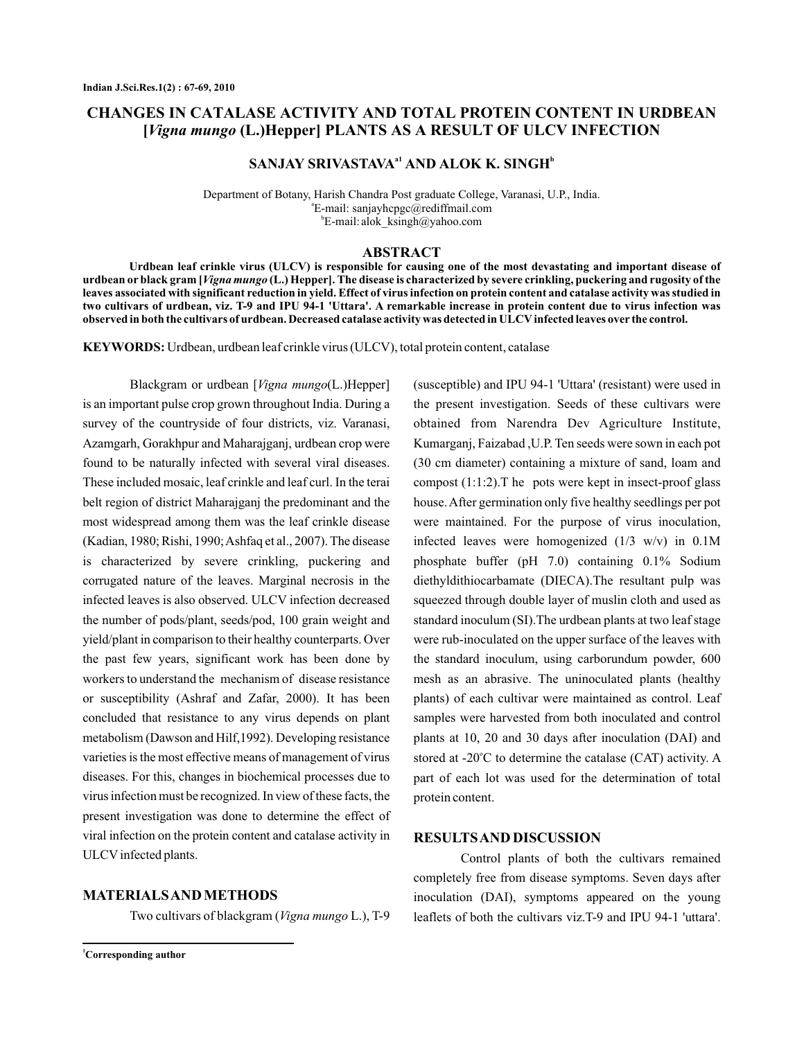# **CHANGES IN CATALASE ACTIVITY AND TOTAL PROTEIN CONTENT IN URDBEAN [ (L.)Hepper]** *Vigna mungo* **PLANTS AS A RESULT OF ULCV INFECTION**

## $\mathbf{SANJAY}$   $\mathbf{SRIVASTAVA}^{ \text{a1}}$   $\mathbf{AND}$   $\mathbf{ALOK}$   $\mathbf{K.}$   $\mathbf{SINGH}^{ \text{b}}$

Department of Botany, Harish Chandra Post graduate College, Varanasi, U.P., India. E-mail: sanjayhcpgc@rediffmail.com a E-mail: alok\_ksingh@yahoo.com b

### **ABSTRACT**

urdbean or black gram [*Vigna mungo* (L.) Hepper]. The disease is characterized by severe crinkling, puckering and rugosity of the **Urdbean leaf crinkle virus (ULCV) is responsible for causing one of the most devastating and important disease of leaves associated with significant reduction in yield. Effect of virus infection on protein content and catalase activity was studied in two cultivars of urdbean, viz. T-9 and IPU 94-1 'Uttara'. A remarkable increase in protein content due to virus infection was observed in both the cultivars of urdbean. Decreased catalase activity was detected in ULCV infected leaves over the control.**

**KEYWORDS:** Urdbean, urdbean leaf crinkle virus (ULCV), total protein content, catalase

Blackgram or urdbean [*Vigna mungo*(L.)Hepper] is an important pulse crop grown throughout India. During a survey of the countryside of four districts, viz. Varanasi, Azamgarh, Gorakhpur and Maharajganj, urdbean crop were found to be naturally infected with several viral diseases. These included mosaic, leaf crinkle and leaf curl. In the terai belt region of district Maharajganj the predominant and the most widespread among them was the leaf crinkle disease (Kadian, 1980; Rishi, 1990;Ashfaq et al., 2007). The disease is characterized by severe crinkling, puckering and corrugated nature of the leaves. Marginal necrosis in the infected leaves is also observed. ULCV infection decreased the number of pods/plant, seeds/pod, 100 grain weight and yield/plant in comparison to their healthy counterparts. Over the past few years, significant work has been done by workers to understand the mechanism of disease resistance or susceptibility (Ashraf and Zafar, 2000). It has been concluded that resistance to any virus depends on plant metabolism (Dawson and Hilf,1992). Developing resistance varieties is the most effective means of management of virus diseases. For this, changes in biochemical processes due to virus infection must be recognized. In view of these facts, the present investigation was done to determine the effect of viral infection on the protein content and catalase activity in ULCV infected plants.

### **MATERIALSAND METHODS**

Two cultivars of blackgram (Vigna mungo L.), T-9

(susceptible) and IPU 94-1 'Uttara' (resistant) were used in the present investigation. Seeds of these cultivars were obtained from Narendra Dev Agriculture Institute, Kumarganj, Faizabad ,U.P. Ten seeds were sown in each pot (30 cm diameter) containing a mixture of sand, loam and compost (1:1:2).T he pots were kept in insect-proof glass house.After germination only five healthy seedlings per pot were maintained. For the purpose of virus inoculation, infected leaves were homogenized (1/3 w/v) in 0.1M phosphate buffer (pH 7.0) containing 0.1% Sodium diethyldithiocarbamate (DIECA).The resultant pulp was squeezed through double layer of muslin cloth and used as standard inoculum (SI).The urdbean plants at two leaf stage were rub-inoculated on the upper surface of the leaves with the standard inoculum, using carborundum powder, 600 mesh as an abrasive. The uninoculated plants (healthy plants) of each cultivar were maintained as control. Leaf samples were harvested from both inoculated and control plants at 10, 20 and 30 days after inoculation (DAI) and stored at -20 $^{\circ}$ C to determine the catalase (CAT) activity. A part of each lot was used for the determination of total protein content.

### **RESULTSAND DISCUSSION**

Control plants of both the cultivars remained completely free from disease symptoms. Seven days after inoculation (DAI), symptoms appeared on the young leaflets of both the cultivars viz.T-9 and IPU 94-1 'uttara'.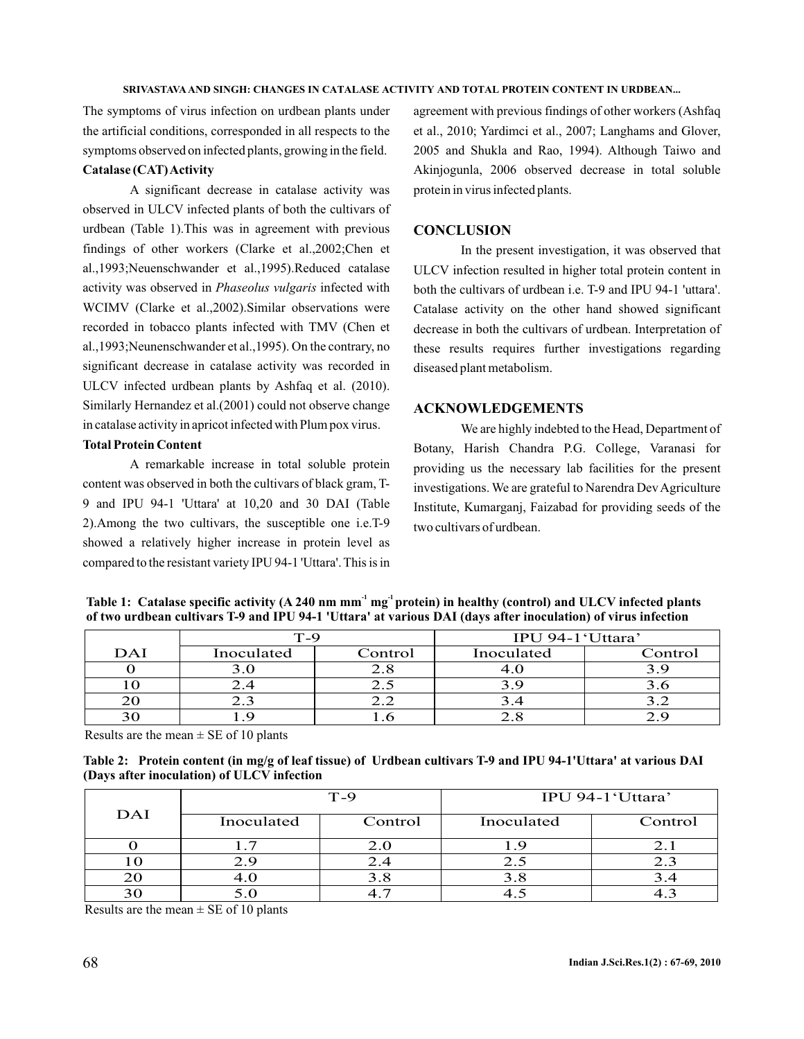#### **SRIVASTAVA AND SINGH: CHANGES IN CATALASE ACTIVITY AND TOTAL PROTEIN CONTENT IN URDBEAN...**

The symptoms of virus infection on urdbean plants under the artificial conditions, corresponded in all respects to the symptoms observed on infected plants, growing in the field.

### **Catalase (CAT)Activity**

A significant decrease in catalase activity was observed in ULCV infected plants of both the cultivars of urdbean (Table 1).This was in agreement with previous findings of other workers (Clarke et al.,2002;Chen et al.,1993;Neuenschwander et al.,1995).Reduced catalase activity was observed in Phaseolus vulgaris infected with WCIMV (Clarke et al.,2002).Similar observations were recorded in tobacco plants infected with TMV (Chen et al.,1993;Neunenschwander et al.,1995). On the contrary, no significant decrease in catalase activity was recorded in ULCV infected urdbean plants by Ashfaq et al. (2010). Similarly Hernandez et al.(2001) could not observe change in catalase activity in apricot infected with Plum pox virus.

### **Total Protein Content**

A remarkable increase in total soluble protein content was observed in both the cultivars of black gram, T-9 and IPU 94-1 'Uttara' at 10,20 and 30 DAI (Table 2).Among the two cultivars, the susceptible one i.e.T-9 showed a relatively higher increase in protein level as compared to the resistant variety IPU 94-1 'Uttara'. This is in

agreement with previous findings of other workers (Ashfaq et al., 2010; Yardimci et al., 2007; Langhams and Glover, 2005 and Shukla and Rao, 1994). Although Taiwo and Akinjogunla, 2006 observed decrease in total soluble protein in virus infected plants.

### **CONCLUSION**

In the present investigation, it was observed that ULCV infection resulted in higher total protein content in both the cultivars of urdbean i.e. T-9 and IPU 94-1 'uttara'. Catalase activity on the other hand showed significant decrease in both the cultivars of urdbean. Interpretation of these results requires further investigations regarding diseased plant metabolism.

### **ACKNOWLEDGEMENTS**

We are highly indebted to the Head, Department of Botany, Harish Chandra P.G. College, Varanasi for providing us the necessary lab facilities for the present investigations. We are grateful to Narendra Dev Agriculture Institute, Kumarganj, Faizabad for providing seeds of the two cultivars of urdbean.

|     | T-9        |         | IPU 94-1'Uttara' |         |
|-----|------------|---------|------------------|---------|
| DAI | Inoculated | Control | Inoculated       | Control |
|     |            |         |                  |         |
|     |            |         |                  |         |
|     |            |         |                  |         |
|     |            |         |                  |         |

Table 1: Catalase specific activity (A 240 nm mm<sup>-1</sup> mg<sup>-1</sup>protein) in healthy (control) and ULCV infected plants **of two urdbean cultivars T-9 and IPU 94-1 'Uttara' at various DAI (days after inoculation) of virus infection**

Results are the mean  $\pm$  SE of 10 plants

|                                            | Table 2: Protein content (in mg/g of leaf tissue) of Urdbean cultivars T-9 and IPU 94-1'Uttara' at various DAI |
|--------------------------------------------|----------------------------------------------------------------------------------------------------------------|
| (Days after inoculation) of ULCV infection |                                                                                                                |

| DAI | $T-9$      |         | IPU 94-1'Uttara' |                      |
|-----|------------|---------|------------------|----------------------|
|     | Inoculated | Control | Inoculated       | Control              |
|     |            | 2.0     |                  | $\angle \cdot \cdot$ |
|     |            | 2.4     |                  | 2.3                  |
|     |            |         |                  |                      |
|     |            |         |                  |                      |

Results are the mean  $\pm$  SE of 10 plants